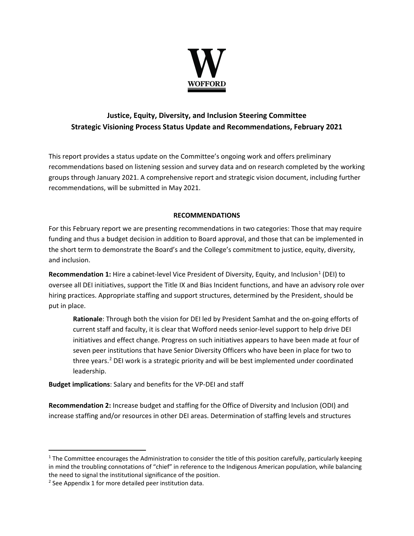

# **Justice, Equity, Diversity, and Inclusion Steering Committee Strategic Visioning Process Status Update and Recommendations, February 2021**

This report provides a status update on the Committee's ongoing work and offers preliminary recommendations based on listening session and survey data and on research completed by the working groups through January 2021. A comprehensive report and strategic vision document, including further recommendations, will be submitted in May 2021.

### **RECOMMENDATIONS**

For this February report we are presenting recommendations in two categories: Those that may require funding and thus a budget decision in addition to Board approval, and those that can be implemented in the short term to demonstrate the Board's and the College's commitment to justice, equity, diversity, and inclusion.

**Recommendation [1](#page-0-0):** Hire a cabinet-level Vice President of Diversity, Equity, and Inclusion<sup>1</sup> (DEI) to oversee all DEI initiatives, support the Title IX and Bias Incident functions, and have an advisory role over hiring practices. Appropriate staffing and support structures, determined by the President, should be put in place.

**Rationale**: Through both the vision for DEI led by President Samhat and the on-going efforts of current staff and faculty, it is clear that Wofford needs senior-level support to help drive DEI initiatives and effect change. Progress on such initiatives appears to have been made at four of seven peer institutions that have Senior Diversity Officers who have been in place for two to three years.<sup>[2](#page-0-1)</sup> DEI work is a strategic priority and will be best implemented under coordinated leadership.

**Budget implications**: Salary and benefits for the VP-DEI and staff

**Recommendation 2:** Increase budget and staffing for the Office of Diversity and Inclusion (ODI) and increase staffing and/or resources in other DEI areas. Determination of staffing levels and structures

<span id="page-0-0"></span> $1$  The Committee encourages the Administration to consider the title of this position carefully, particularly keeping in mind the troubling connotations of "chief" in reference to the Indigenous American population, while balancing the need to signal the institutional significance of the position.

<span id="page-0-1"></span><sup>2</sup> See Appendix 1 for more detailed peer institution data.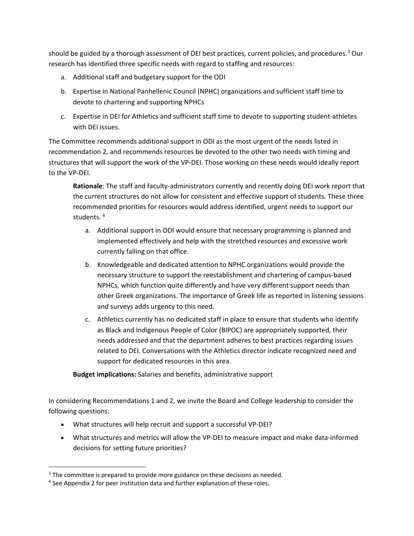should be guided by a thorough assessment of DEI best practices, current policies, and procedures.<sup>[3](#page-1-0)</sup> Our research has identified three specific needs with regard to staffing and resources:

- a. Additional staff and budgetary support for the ODI
- b. Expertise in National Panhellenic Council (NPHC) organizations and sufficient staff time to devote to chartering and supporting NPHCs
- c. Expertise in DEI for Athletics and sufficient staff time to devote to supporting student-athletes with DEI issues.

The Committee recommends additional support in ODI as the most urgent of the needs listed in recommendation 2, and recommends resources be devoted to the other two needs with timing and structures that will support the work of the VP-DEI. Those working on these needs would ideally report to the VP-DEI.

**Rationale**: The staff and faculty-administrators currently and recently doing DEI work report that the current structures do not allow for consistent and effective support of students. These three recommended priorities for resources would address identified, urgent needs to support our students.<sup>[4](#page-1-1)</sup>

- a. Additional support in ODI would ensure that necessary programming is planned and implemented effectively and help with the stretched resources and excessive work currently falling on that office.
- b. Knowledgeable and dedicated attention to NPHC organizations would provide the necessary structure to support the reestablishment and chartering of campus-based NPHCs, which function quite differently and have very different support needs than other Greek organizations. The importance of Greek life as reported in listening sessions and surveys adds urgency to this need.
- c. Athletics currently has no dedicated staff in place to ensure that students who identify as Black and Indigenous People of Color (BIPOC) are appropriately supported, their needs addressed and that the department adheres to best practices regarding issues related to DEI. Conversations with the Athletics director indicate recognized need and support for dedicated resources in this area.

**Budget implications:** Salaries and benefits, administrative support

In considering Recommendations 1 and 2, we invite the Board and College leadership to consider the following questions:

- What structures will help recruit and support a successful VP-DEI?
- What structures and metrics will allow the VP-DEI to measure impact and make data-informed decisions for setting future priorities?

<span id="page-1-0"></span><sup>&</sup>lt;sup>3</sup> The committee is prepared to provide more guidance on these decisions as needed.

<span id="page-1-1"></span><sup>&</sup>lt;sup>4</sup> See Appendix 2 for peer institution data and further explanation of these roles.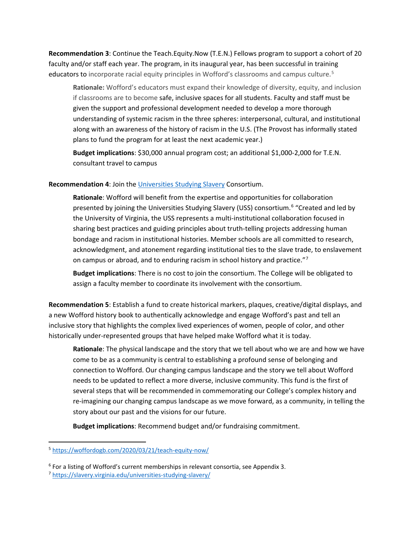**Recommendation 3**: Continue the Teach.Equity.Now (T.E.N.) Fellows program to support a cohort of 20 faculty and/or staff each year. The program, in its inaugural year, has been successful in training educators to incorporate racial equity principles in Wofford's classrooms and campus culture.<sup>[5](#page-2-0)</sup>

**Rationale:** Wofford's educators must expand their knowledge of diversity, equity, and inclusion if classrooms are to become safe, inclusive spaces for all students. Faculty and staff must be given the support and professional development needed to develop a more thorough understanding of systemic racism in the three spheres: interpersonal, cultural, and institutional along with an awareness of the history of racism in the U.S. (The Provost has informally stated plans to fund the program for at least the next academic year.)

**Budget implications**: \$30,000 annual program cost; an additional \$1,000-2,000 for T.E.N. consultant travel to campus

#### **Recommendation 4**: Join the [Universities Studying Slavery](https://slavery.virginia.edu/universities-studying-slavery/) Consortium.

**Rationale**: Wofford will benefit from the expertise and opportunities for collaboration presented by joining the Universities Studying Slavery (USS) consortium.<sup>[6](#page-2-1)</sup> "Created and led by the University of Virginia, the USS represents a multi-institutional collaboration focused in sharing best practices and guiding principles about truth-telling projects addressing human bondage and racism in institutional histories. Member schools are all committed to research, acknowledgment, and atonement regarding institutional ties to the slave trade, to enslavement on campus or abroad, and to enduring racism in school history and practice."<sup>[7](#page-2-2)</sup>

**Budget implications**: There is no cost to join the consortium. The College will be obligated to assign a faculty member to coordinate its involvement with the consortium.

**Recommendation 5**: Establish a fund to create historical markers, plaques, creative/digital displays, and a new Wofford history book to authentically acknowledge and engage Wofford's past and tell an inclusive story that highlights the complex lived experiences of women, people of color, and other historically under-represented groups that have helped make Wofford what it is today.

**Rationale**: The physical landscape and the story that we tell about who we are and how we have come to be as a community is central to establishing a profound sense of belonging and connection to Wofford. Our changing campus landscape and the story we tell about Wofford needs to be updated to reflect a more diverse, inclusive community. This fund is the first of several steps that will be recommended in commemorating our College's complex history and re-imagining our changing campus landscape as we move forward, as a community, in telling the story about our past and the visions for our future.

**Budget implications**: Recommend budget and/or fundraising commitment.

<span id="page-2-0"></span><sup>5</sup> <https://woffordogb.com/2020/03/21/teach-equity-now/>

<span id="page-2-1"></span> $6$  For a listing of Wofford's current memberships in relevant consortia, see Appendix 3.

<span id="page-2-2"></span><sup>7</sup> <https://slavery.virginia.edu/universities-studying-slavery/>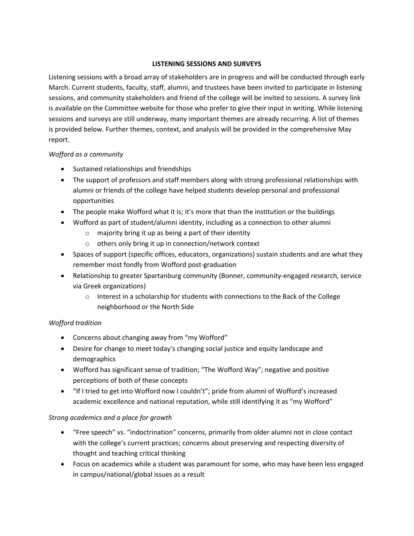#### **LISTENING SESSIONS AND SURVEYS**

Listening sessions with a broad array of stakeholders are in progress and will be conducted through early March. Current students, faculty, staff, alumni, and trustees have been invited to participate in listening sessions, and community stakeholders and friend of the college will be invited to sessions. A survey link is available on the Committee website for those who prefer to give their input in writing. While listening sessions and surveys are still underway, many important themes are already recurring. A list of themes is provided below. Further themes, context, and analysis will be provided in the comprehensive May report.

### *Wofford as a community*

- Sustained relationships and friendships
- The support of professors and staff members along with strong professional relationships with alumni or friends of the college have helped students develop personal and professional opportunities
- The people make Wofford what it is; it's more that than the institution or the buildings
- Wofford as part of student/alumni identity, including as a connection to other alumni
	- o majority bring it up as being a part of their identity
	- o others only bring it up in connection/network context
- Spaces of support (specific offices, educators, organizations) sustain students and are what they remember most fondly from Wofford post-graduation
- Relationship to greater Spartanburg community (Bonner, community-engaged research, service via Greek organizations)
	- $\circ$  Interest in a scholarship for students with connections to the Back of the College neighborhood or the North Side

# *Wofford tradition*

- Concerns about changing away from "my Wofford"
- Desire for change to meet today's changing social justice and equity landscape and demographics
- Wofford has significant sense of tradition; "The Wofford Way"; negative and positive perceptions of both of these concepts
- "If I tried to get into Wofford now I couldn't"; pride from alumni of Wofford's increased academic excellence and national reputation, while still identifying it as "my Wofford"

# *Strong academics and a place for growth*

- "Free speech" vs. "indoctrination" concerns, primarily from older alumni not in close contact with the college's current practices; concerns about preserving and respecting diversity of thought and teaching critical thinking
- Focus on academics while a student was paramount for some, who may have been less engaged in campus/national/global issues as a result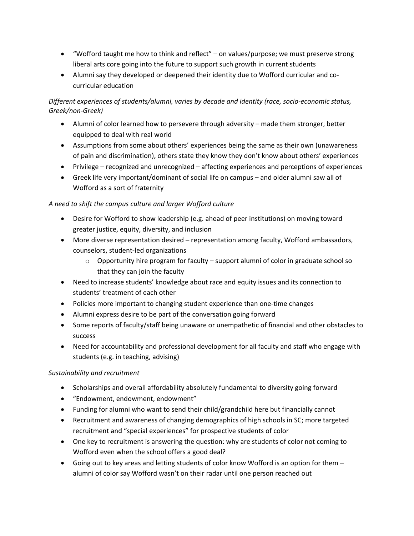- "Wofford taught me how to think and reflect" on values/purpose; we must preserve strong liberal arts core going into the future to support such growth in current students
- Alumni say they developed or deepened their identity due to Wofford curricular and cocurricular education

## *Different experiences of students/alumni, varies by decade and identity (race, socio-economic status, Greek/non-Greek)*

- Alumni of color learned how to persevere through adversity made them stronger, better equipped to deal with real world
- Assumptions from some about others' experiences being the same as their own (unawareness of pain and discrimination), others state they know they don't know about others' experiences
- Privilege recognized and unrecognized affecting experiences and perceptions of experiences
- Greek life very important/dominant of social life on campus and older alumni saw all of Wofford as a sort of fraternity

### *A need to shift the campus culture and larger Wofford culture*

- Desire for Wofford to show leadership (e.g. ahead of peer institutions) on moving toward greater justice, equity, diversity, and inclusion
- More diverse representation desired representation among faculty, Wofford ambassadors, counselors, student-led organizations
	- $\circ$  Opportunity hire program for faculty support alumni of color in graduate school so that they can join the faculty
- Need to increase students' knowledge about race and equity issues and its connection to students' treatment of each other
- Policies more important to changing student experience than one-time changes
- Alumni express desire to be part of the conversation going forward
- Some reports of faculty/staff being unaware or unempathetic of financial and other obstacles to success
- Need for accountability and professional development for all faculty and staff who engage with students (e.g. in teaching, advising)

### *Sustainability and recruitment*

- Scholarships and overall affordability absolutely fundamental to diversity going forward
- "Endowment, endowment, endowment"
- Funding for alumni who want to send their child/grandchild here but financially cannot
- Recruitment and awareness of changing demographics of high schools in SC; more targeted recruitment and "special experiences" for prospective students of color
- One key to recruitment is answering the question: why are students of color not coming to Wofford even when the school offers a good deal?
- Going out to key areas and letting students of color know Wofford is an option for them alumni of color say Wofford wasn't on their radar until one person reached out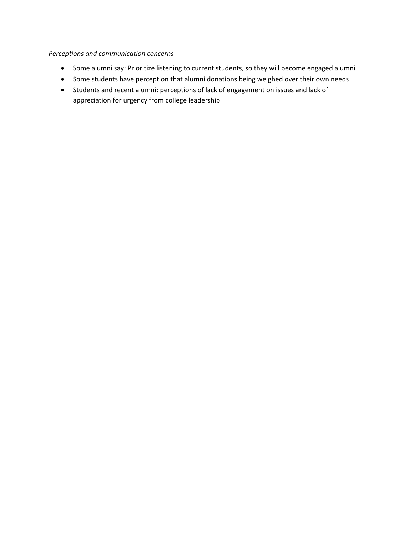#### *Perceptions and communication concerns*

- Some alumni say: Prioritize listening to current students, so they will become engaged alumni
- Some students have perception that alumni donations being weighed over their own needs
- Students and recent alumni: perceptions of lack of engagement on issues and lack of appreciation for urgency from college leadership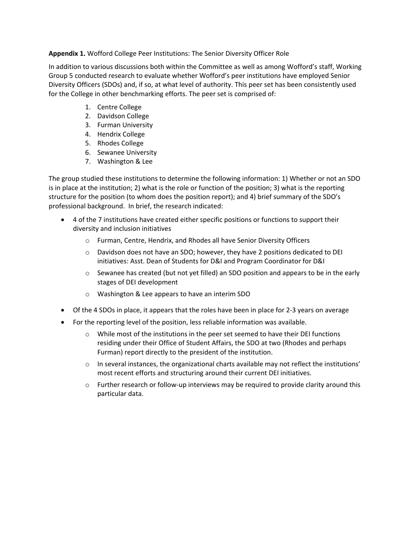#### **Appendix 1.** Wofford College Peer Institutions: The Senior Diversity Officer Role

In addition to various discussions both within the Committee as well as among Wofford's staff, Working Group 5 conducted research to evaluate whether Wofford's peer institutions have employed Senior Diversity Officers (SDOs) and, if so, at what level of authority. This peer set has been consistently used for the College in other benchmarking efforts. The peer set is comprised of:

- 1. Centre College
- 2. Davidson College
- 3. Furman University
- 4. Hendrix College
- 5. Rhodes College
- 6. Sewanee University
- 7. Washington & Lee

The group studied these institutions to determine the following information: 1) Whether or not an SDO is in place at the institution; 2) what is the role or function of the position; 3) what is the reporting structure for the position (to whom does the position report); and 4) brief summary of the SDO's professional background. In brief, the research indicated:

- 4 of the 7 institutions have created either specific positions or functions to support their diversity and inclusion initiatives
	- o Furman, Centre, Hendrix, and Rhodes all have Senior Diversity Officers
	- o Davidson does not have an SDO; however, they have 2 positions dedicated to DEI initiatives: Asst. Dean of Students for D&I and Program Coordinator for D&I
	- $\circ$  Sewanee has created (but not yet filled) an SDO position and appears to be in the early stages of DEI development
	- o Washington & Lee appears to have an interim SDO
- Of the 4 SDOs in place, it appears that the roles have been in place for 2-3 years on average
- For the reporting level of the position, less reliable information was available.
	- o While most of the institutions in the peer set seemed to have their DEI functions residing under their Office of Student Affairs, the SDO at two (Rhodes and perhaps Furman) report directly to the president of the institution.
	- $\circ$  In several instances, the organizational charts available may not reflect the institutions' most recent efforts and structuring around their current DEI initiatives.
	- $\circ$  Further research or follow-up interviews may be required to provide clarity around this particular data.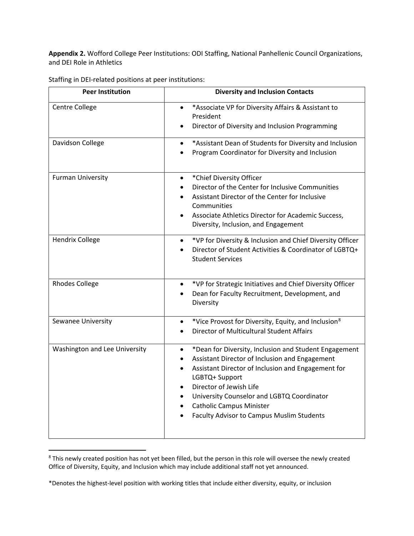**Appendix 2.** Wofford College Peer Institutions: ODI Staffing, National Panhellenic Council Organizations, and DEI Role in Athletics

| <b>Peer Institution</b>       | <b>Diversity and Inclusion Contacts</b>                                                                                                                                                                                                                                                                                                                            |  |  |
|-------------------------------|--------------------------------------------------------------------------------------------------------------------------------------------------------------------------------------------------------------------------------------------------------------------------------------------------------------------------------------------------------------------|--|--|
| Centre College                | *Associate VP for Diversity Affairs & Assistant to<br>$\bullet$<br>President                                                                                                                                                                                                                                                                                       |  |  |
|                               | Director of Diversity and Inclusion Programming                                                                                                                                                                                                                                                                                                                    |  |  |
| Davidson College              | *Assistant Dean of Students for Diversity and Inclusion<br>Program Coordinator for Diversity and Inclusion                                                                                                                                                                                                                                                         |  |  |
| <b>Furman University</b>      | *Chief Diversity Officer<br>$\bullet$<br>Director of the Center for Inclusive Communities<br>$\bullet$<br>Assistant Director of the Center for Inclusive<br>Communities<br>Associate Athletics Director for Academic Success,<br>Diversity, Inclusion, and Engagement                                                                                              |  |  |
| <b>Hendrix College</b>        | *VP for Diversity & Inclusion and Chief Diversity Officer<br>$\bullet$<br>Director of Student Activities & Coordinator of LGBTQ+<br>$\bullet$<br><b>Student Services</b>                                                                                                                                                                                           |  |  |
| <b>Rhodes College</b>         | *VP for Strategic Initiatives and Chief Diversity Officer<br>$\bullet$<br>Dean for Faculty Recruitment, Development, and<br>Diversity                                                                                                                                                                                                                              |  |  |
| Sewanee University            | *Vice Provost for Diversity, Equity, and Inclusion <sup>8</sup><br>$\bullet$<br>Director of Multicultural Student Affairs                                                                                                                                                                                                                                          |  |  |
| Washington and Lee University | *Dean for Diversity, Inclusion and Student Engagement<br>$\bullet$<br>Assistant Director of Inclusion and Engagement<br>Assistant Director of Inclusion and Engagement for<br>LGBTQ+ Support<br>Director of Jewish Life<br>$\bullet$<br>University Counselor and LGBTQ Coordinator<br><b>Catholic Campus Minister</b><br>Faculty Advisor to Campus Muslim Students |  |  |

Staffing in DEI-related positions at peer institutions:

<span id="page-7-0"></span><sup>&</sup>lt;sup>8</sup> This newly created position has not yet been filled, but the person in this role will oversee the newly created Office of Diversity, Equity, and Inclusion which may include additional staff not yet announced.

<sup>\*</sup>Denotes the highest-level position with working titles that include either diversity, equity, or inclusion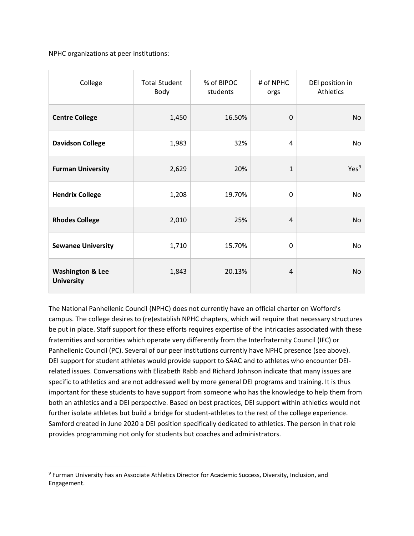NPHC organizations at peer institutions:

| College                                          | <b>Total Student</b><br>Body | % of BIPOC<br>students | # of NPHC<br>orgs | DEI position in<br>Athletics |
|--------------------------------------------------|------------------------------|------------------------|-------------------|------------------------------|
| <b>Centre College</b>                            | 1,450                        | 16.50%                 | $\mathbf 0$       | <b>No</b>                    |
| <b>Davidson College</b>                          | 1,983                        | 32%                    | 4                 | No                           |
| <b>Furman University</b>                         | 2,629                        | 20%                    | $\mathbf{1}$      | Yes <sup>9</sup>             |
| <b>Hendrix College</b>                           | 1,208                        | 19.70%                 | 0                 | No                           |
| <b>Rhodes College</b>                            | 2,010                        | 25%                    | $\overline{4}$    | No                           |
| <b>Sewanee University</b>                        | 1,710                        | 15.70%                 | 0                 | No                           |
| <b>Washington &amp; Lee</b><br><b>University</b> | 1,843                        | 20.13%                 | $\overline{4}$    | No                           |

The National Panhellenic Council (NPHC) does not currently have an official charter on Wofford's campus. The college desires to (re)establish NPHC chapters, which will require that necessary structures be put in place. Staff support for these efforts requires expertise of the intricacies associated with these fraternities and sororities which operate very differently from the Interfraternity Council (IFC) or Panhellenic Council (PC). Several of our peer institutions currently have NPHC presence (see above). DEI support for student athletes would provide support to SAAC and to athletes who encounter DEIrelated issues. Conversations with Elizabeth Rabb and Richard Johnson indicate that many issues are specific to athletics and are not addressed well by more general DEI programs and training. It is thus important for these students to have support from someone who has the knowledge to help them from both an athletics and a DEI perspective. Based on best practices, DEI support within athletics would not further isolate athletes but build a bridge for student-athletes to the rest of the college experience. Samford created in June 2020 a DEI position specifically dedicated to athletics. The person in that role provides programming not only for students but coaches and administrators.

<span id="page-8-0"></span><sup>9</sup> Furman University has an Associate Athletics Director for Academic Success, Diversity, Inclusion, and Engagement.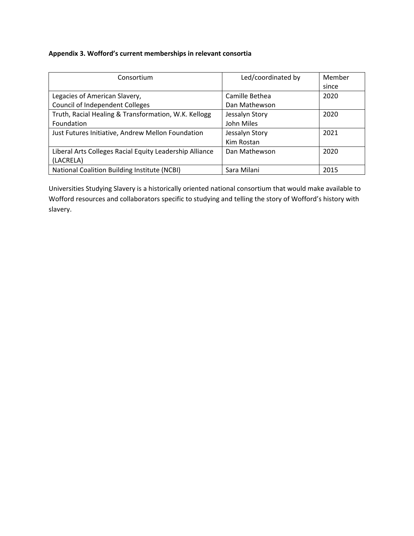### **Appendix 3. Wofford's current memberships in relevant consortia**

| Consortium                                              | Led/coordinated by | Member |
|---------------------------------------------------------|--------------------|--------|
|                                                         |                    | since  |
| Legacies of American Slavery,                           | Camille Bethea     | 2020   |
| Council of Independent Colleges                         | Dan Mathewson      |        |
| Truth, Racial Healing & Transformation, W.K. Kellogg    | Jessalyn Story     | 2020   |
| Foundation                                              | John Miles         |        |
| Just Futures Initiative, Andrew Mellon Foundation       | Jessalyn Story     | 2021   |
|                                                         | Kim Rostan         |        |
| Liberal Arts Colleges Racial Equity Leadership Alliance | Dan Mathewson      | 2020   |
| (LACRELA)                                               |                    |        |
| National Coalition Building Institute (NCBI)            | Sara Milani        | 2015   |

Universities Studying Slavery is a historically oriented national consortium that would make available to Wofford resources and collaborators specific to studying and telling the story of Wofford's history with slavery.